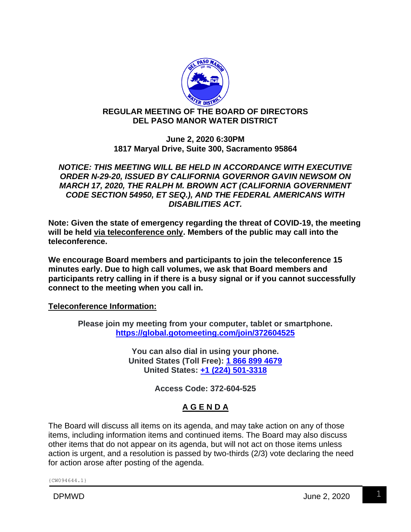

## **REGULAR MEETING OF THE BOARD OF DIRECTORS DEL PASO MANOR WATER DISTRICT**

**June 2, 2020 6:30PM 1817 Maryal Drive, Suite 300, Sacramento 95864**

*NOTICE: THIS MEETING WILL BE HELD IN ACCORDANCE WITH EXECUTIVE ORDER N-29-20, ISSUED BY CALIFORNIA GOVERNOR GAVIN NEWSOM ON MARCH 17, 2020, THE RALPH M. BROWN ACT (CALIFORNIA GOVERNMENT CODE SECTION 54950, ET SEQ.), AND THE FEDERAL AMERICANS WITH DISABILITIES ACT.*

**Note: Given the state of emergency regarding the threat of COVID-19, the meeting will be held via teleconference only. Members of the public may call into the teleconference.**

**We encourage Board members and participants to join the teleconference 15 minutes early. Due to high call volumes, we ask that Board members and participants retry calling in if there is a busy signal or if you cannot successfully connect to the meeting when you call in.**

**Teleconference Information:**

**Please join my meeting from your computer, tablet or smartphone. <https://global.gotomeeting.com/join/372604525>**

> **You can also dial in using your phone. United States (Toll Free): [1 866 899 4679](tel:+18668994679,,372604525) United States: [+1 \(224\) 501-3318](tel:+12245013318,,372604525)**

> > **Access Code: 372-604-525**

# **A G E N D A**

The Board will discuss all items on its agenda, and may take action on any of those items, including information items and continued items. The Board may also discuss other items that do not appear on its agenda, but will not act on those items unless action is urgent, and a resolution is passed by two-thirds (2/3) vote declaring the need for action arose after posting of the agenda.

{CW094644.1}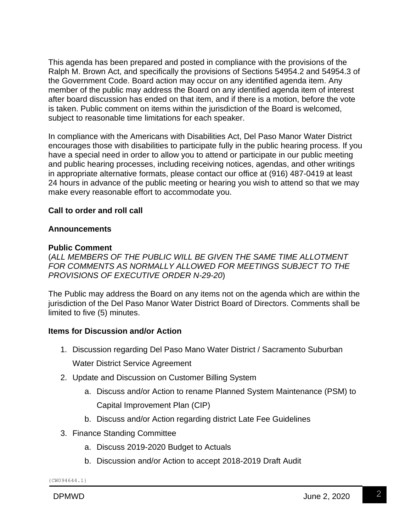This agenda has been prepared and posted in compliance with the provisions of the Ralph M. Brown Act, and specifically the provisions of Sections 54954.2 and 54954.3 of the Government Code. Board action may occur on any identified agenda item. Any member of the public may address the Board on any identified agenda item of interest after board discussion has ended on that item, and if there is a motion, before the vote is taken. Public comment on items within the jurisdiction of the Board is welcomed, subject to reasonable time limitations for each speaker.

In compliance with the Americans with Disabilities Act, Del Paso Manor Water District encourages those with disabilities to participate fully in the public hearing process. If you have a special need in order to allow you to attend or participate in our public meeting and public hearing processes, including receiving notices, agendas, and other writings in appropriate alternative formats, please contact our office at (916) 487-0419 at least 24 hours in advance of the public meeting or hearing you wish to attend so that we may make every reasonable effort to accommodate you.

## **Call to order and roll call**

#### **Announcements**

#### **Public Comment**

(*ALL MEMBERS OF THE PUBLIC WILL BE GIVEN THE SAME TIME ALLOTMENT FOR COMMENTS AS NORMALLY ALLOWED FOR MEETINGS SUBJECT TO THE PROVISIONS OF EXECUTIVE ORDER N-29-20*)

The Public may address the Board on any items not on the agenda which are within the jurisdiction of the Del Paso Manor Water District Board of Directors. Comments shall be limited to five (5) minutes.

#### **Items for Discussion and/or Action**

1. Discussion regarding Del Paso Mano Water District / Sacramento Suburban

Water District Service Agreement

- 2. Update and Discussion on Customer Billing System
	- a. Discuss and/or Action to rename Planned System Maintenance (PSM) to Capital Improvement Plan (CIP)
	- b. Discuss and/or Action regarding district Late Fee Guidelines
- 3. Finance Standing Committee
	- a. Discuss 2019-2020 Budget to Actuals
	- b. Discussion and/or Action to accept 2018-2019 Draft Audit

{CW094644.1}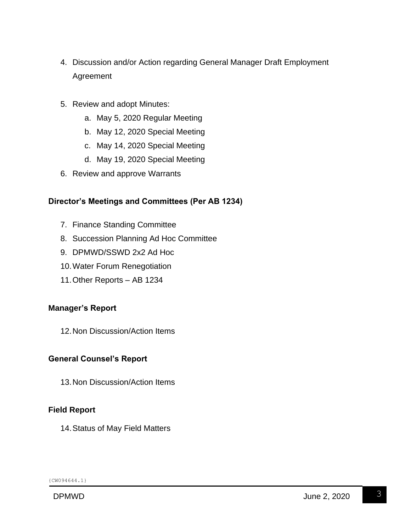- 4. Discussion and/or Action regarding General Manager Draft Employment Agreement
- 5. Review and adopt Minutes:
	- a. May 5, 2020 Regular Meeting
	- b. May 12, 2020 Special Meeting
	- c. May 14, 2020 Special Meeting
	- d. May 19, 2020 Special Meeting
- 6. Review and approve Warrants

## **Director's Meetings and Committees (Per AB 1234)**

- 7. Finance Standing Committee
- 8. Succession Planning Ad Hoc Committee
- 9. DPMWD/SSWD 2x2 Ad Hoc
- 10.Water Forum Renegotiation
- 11.Other Reports AB 1234

#### **Manager's Report**

12.Non Discussion/Action Items

#### **General Counsel's Report**

13.Non Discussion/Action Items

## **Field Report**

14.Status of May Field Matters